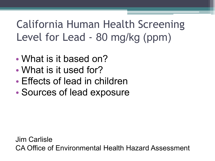## California Human Health Screening Level for Lead - 80 mg/kg (ppm)

- What is it based on?
- What is it used for?
- Effects of lead in children
- Sources of lead exposure

Jim Carlisle CA Office of Environmental Health Hazard Assessment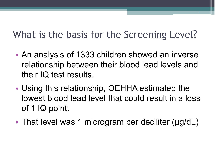## What is the basis for the Screening Level?

- An analysis of 1333 children showed an inverse relationship between their blood lead levels and their IQ test results.
- Using this relationship, OEHHA estimated the lowest blood lead level that could result in a loss of 1 IQ point.
- That level was 1 microgram per deciliter (µg/dL)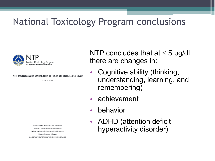### National Toxicology Program conclusions



#### NTP MONOGRAPH ON HEALTH EFFECTS OF LOW-LEVEL LEAD

June 13, 2012

Office of Health Assessment and Translation Division of the National Toxicology Program National Institute of Environmental Health Sciences National Institutes of Health U.S. DEPARTMENT OF HEALTH AND HUMAN SERVICES NTP concludes that at  $\leq$  5 µg/dL there are changes in:

- Cognitive ability (thinking, understanding, learning, and remembering)
- achievement
- behavior
- ADHD (attention deficit hyperactivity disorder)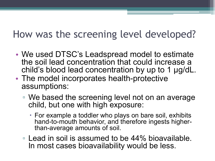### How was the screening level developed?

- We used DTSC's Leadspread model to estimate the soil lead concentration that could increase a child's blood lead concentration by up to 1 µg/dL.
- The model incorporates health-protective assumptions:
	- We based the screening level not on an average child, but one with high exposure:
		- For example a toddler who plays on bare soil, exhibits hand-to-mouth behavior, and therefore ingests higher- than-average amounts of soil.
	- □ Lead in soil is assumed to be 44% bioavailable. In most cases bioavailability would be less.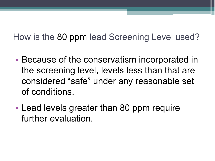How is the 80 ppm lead Screening Level used?

- Because of the conservatism incorporated in the screening level, levels less than that are considered "safe" under any reasonable set of conditions.
- Lead levels greater than 80 ppm require further evaluation.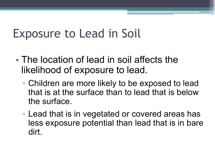# Exposure to Lead in Soil

- The location of lead in soil affects the likelihood of exposure to lead.
	- Children are more likely to be exposed to lead that is at the surface than to lead that is below the surface.
	- Lead that is in vegetated or covered areas has less exposure potential than lead that is in bare dirt.